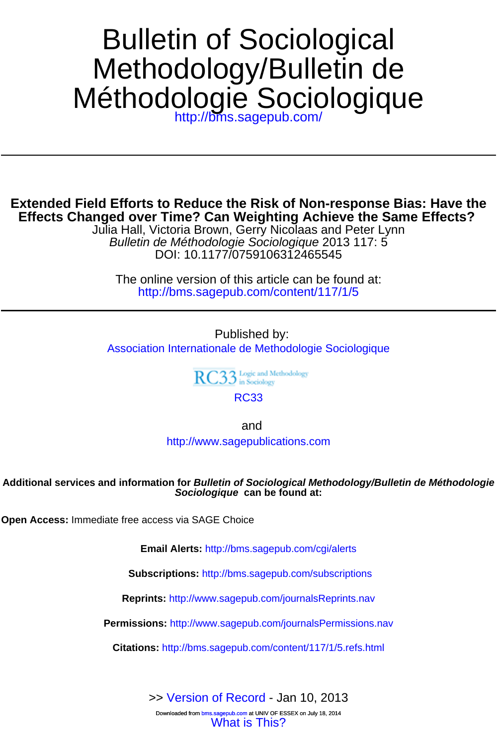# Méthodologie Sociologique Methodology/Bulletin de Bulletin of Sociological

<http://bms.sagepub.com/>

# **Effects Changed over Time? Can Weighting Achieve the Same Effects? Extended Field Efforts to Reduce the Risk of Non-response Bias: Have the**

DOI: 10.1177/0759106312465545 Bulletin de Méthodologie Sociologique 2013 117: 5 Julia Hall, Victoria Brown, Gerry Nicolaas and Peter Lynn

<http://bms.sagepub.com/content/117/1/5> The online version of this article can be found at:

Published by: [Association Internationale de Methodologie Sociologique](http://bms.sagepub.com)

RC33 Logic and Methodology

[RC33](http://www.rc33.org/)

and

<http://www.sagepublications.com>

## **Sociologique can be found at: Additional services and information for Bulletin of Sociological Methodology/Bulletin de Méthodologie**

**Open Access:** Immediate free access via SAGE Choice

**Email Alerts:** <http://bms.sagepub.com/cgi/alerts>

**Subscriptions:** <http://bms.sagepub.com/subscriptions>

**Reprints:** <http://www.sagepub.com/journalsReprints.nav>

**Permissions:** <http://www.sagepub.com/journalsPermissions.nav>

**Citations:** <http://bms.sagepub.com/content/117/1/5.refs.html>

>> [Version of Record -](http://bms.sagepub.com/content/117/1/5.full.pdf) Jan 10, 2013

Downloaded from bms.sagepub.com at UNIV OF ESSEX on July 18, 2014<br>[What is This?](http://online.sagepub.com/site/sphelp/vorhelp.xhtml)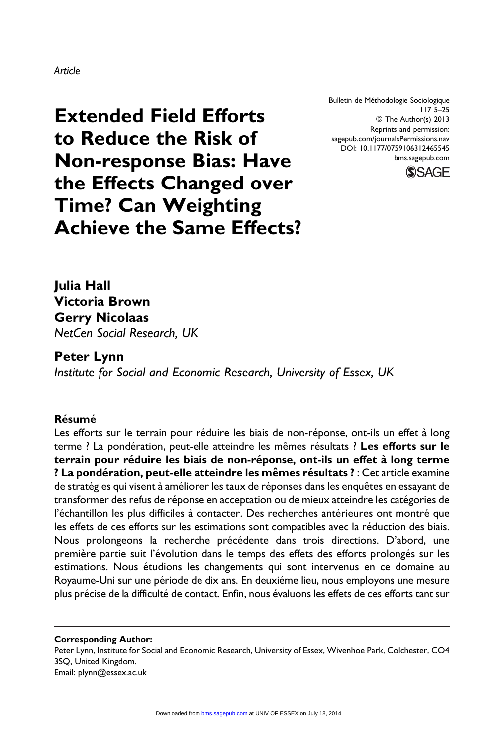#### Article

Bulletin de Méthodologie Sociologique 117 5–25 © The Author(s) 2013 Reprints and permission: sagepub.com/journalsPermissions.nav DOI: 10.1177/0759106312465545 [bms.sagepub.com](http://bms.sagepub.com)



Extended Field Efforts to Reduce the Risk of Non-response Bias: Have the Effects Changed over Time? Can Weighting Achieve the Same Effects?

Julia Hall Victoria Brown Gerry Nicolaas NetCen Social Research, UK

Peter Lynn Institute for Social and Economic Research, University of Essex, UK

## Résumé

Les efforts sur le terrain pour réduire les biais de non-réponse, ont-ils un effet à long terme ? La pondération, peut-elle atteindre les mêmes résultats ? Les efforts sur le terrain pour réduire les biais de non-réponse, ont-ils un effet à long terme ? La pondération, peut-elle atteindre les mêmes résultats ? : Cet article examine de stratégies qui visent à améliorer les taux de réponses dans les enquêtes en essayant de transformer des refus de réponse en acceptation ou de mieux atteindre les catégories de l'échantillon les plus difficiles à contacter. Des recherches antérieures ont montré que les effets de ces efforts sur les estimations sont compatibles avec la réduction des biais. Nous prolongeons la recherche précédente dans trois directions. D'abord, une première partie suit l'évolution dans le temps des effets des efforts prolongés sur les estimations. Nous étudions les changements qui sont intervenus en ce domaine au Royaume-Uni sur une période de dix ans. En deuxiéme lieu, nous employons une mesure plus précise de la difficulté de contact. Enfin, nous évaluons les effets de ces efforts tant sur

Corresponding Author: Peter Lynn, Institute for Social and Economic Research, University of Essex, Wivenhoe Park, Colchester, CO4 3SQ, United Kingdom.

Email: plynn@essex.ac.uk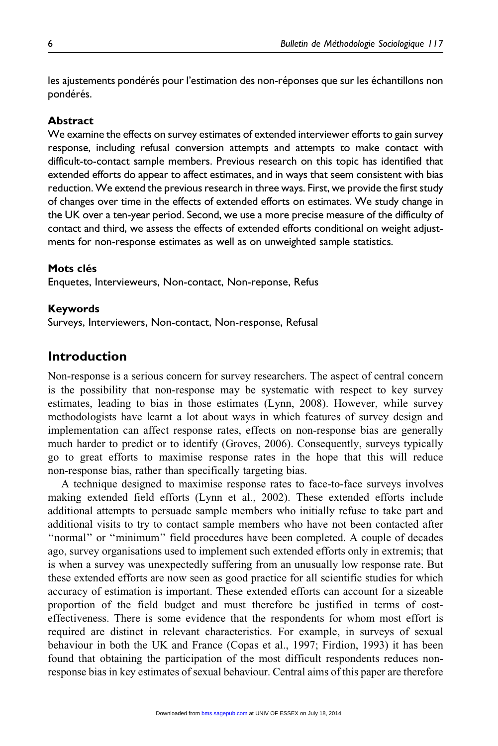les ajustements pondérés pour l'estimation des non-réponses que sur les échantillons non pondérés.

#### Abstract

We examine the effects on survey estimates of extended interviewer efforts to gain survey response, including refusal conversion attempts and attempts to make contact with difficult-to-contact sample members. Previous research on this topic has identified that extended efforts do appear to affect estimates, and in ways that seem consistent with bias reduction. We extend the previous research in three ways. First, we provide the first study of changes over time in the effects of extended efforts on estimates. We study change in the UK over a ten-year period. Second, we use a more precise measure of the difficulty of contact and third, we assess the effects of extended efforts conditional on weight adjustments for non-response estimates as well as on unweighted sample statistics.

#### Mots clés

Enquetes, Intervieweurs, Non-contact, Non-reponse, Refus

#### Keywords

Surveys, Interviewers, Non-contact, Non-response, Refusal

## Introduction

Non-response is a serious concern for survey researchers. The aspect of central concern is the possibility that non-response may be systematic with respect to key survey estimates, leading to bias in those estimates (Lynn, 2008). However, while survey methodologists have learnt a lot about ways in which features of survey design and implementation can affect response rates, effects on non-response bias are generally much harder to predict or to identify (Groves, 2006). Consequently, surveys typically go to great efforts to maximise response rates in the hope that this will reduce non-response bias, rather than specifically targeting bias.

A technique designed to maximise response rates to face-to-face surveys involves making extended field efforts (Lynn et al., 2002). These extended efforts include additional attempts to persuade sample members who initially refuse to take part and additional visits to try to contact sample members who have not been contacted after ''normal'' or ''minimum'' field procedures have been completed. A couple of decades ago, survey organisations used to implement such extended efforts only in extremis; that is when a survey was unexpectedly suffering from an unusually low response rate. But these extended efforts are now seen as good practice for all scientific studies for which accuracy of estimation is important. These extended efforts can account for a sizeable proportion of the field budget and must therefore be justified in terms of costeffectiveness. There is some evidence that the respondents for whom most effort is required are distinct in relevant characteristics. For example, in surveys of sexual behaviour in both the UK and France (Copas et al., 1997; Firdion, 1993) it has been found that obtaining the participation of the most difficult respondents reduces nonresponse bias in key estimates of sexual behaviour. Central aims of this paper are therefore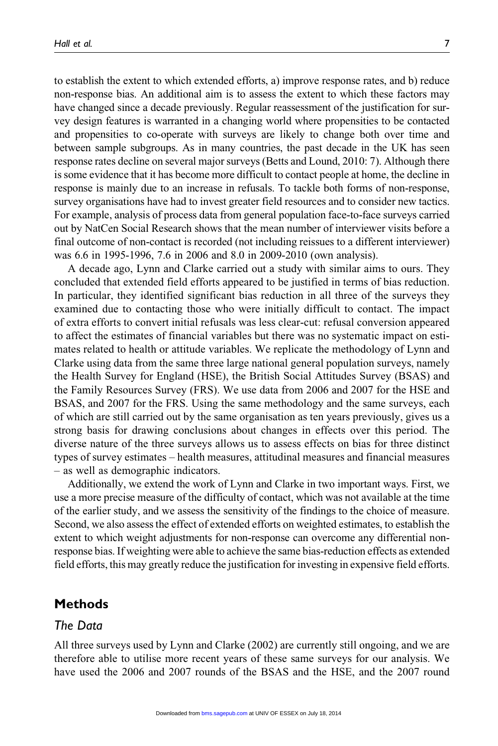to establish the extent to which extended efforts, a) improve response rates, and b) reduce non-response bias. An additional aim is to assess the extent to which these factors may have changed since a decade previously. Regular reassessment of the justification for survey design features is warranted in a changing world where propensities to be contacted and propensities to co-operate with surveys are likely to change both over time and between sample subgroups. As in many countries, the past decade in the UK has seen response rates decline on several major surveys (Betts and Lound, 2010: 7). Although there is some evidence that it has become more difficult to contact people at home, the decline in response is mainly due to an increase in refusals. To tackle both forms of non-response, survey organisations have had to invest greater field resources and to consider new tactics. For example, analysis of process data from general population face-to-face surveys carried out by NatCen Social Research shows that the mean number of interviewer visits before a final outcome of non-contact is recorded (not including reissues to a different interviewer) was 6.6 in 1995-1996, 7.6 in 2006 and 8.0 in 2009-2010 (own analysis).

A decade ago, Lynn and Clarke carried out a study with similar aims to ours. They concluded that extended field efforts appeared to be justified in terms of bias reduction. In particular, they identified significant bias reduction in all three of the surveys they examined due to contacting those who were initially difficult to contact. The impact of extra efforts to convert initial refusals was less clear-cut: refusal conversion appeared to affect the estimates of financial variables but there was no systematic impact on estimates related to health or attitude variables. We replicate the methodology of Lynn and Clarke using data from the same three large national general population surveys, namely the Health Survey for England (HSE), the British Social Attitudes Survey (BSAS) and the Family Resources Survey (FRS). We use data from 2006 and 2007 for the HSE and BSAS, and 2007 for the FRS. Using the same methodology and the same surveys, each of which are still carried out by the same organisation as ten years previously, gives us a strong basis for drawing conclusions about changes in effects over this period. The diverse nature of the three surveys allows us to assess effects on bias for three distinct types of survey estimates – health measures, attitudinal measures and financial measures – as well as demographic indicators.

Additionally, we extend the work of Lynn and Clarke in two important ways. First, we use a more precise measure of the difficulty of contact, which was not available at the time of the earlier study, and we assess the sensitivity of the findings to the choice of measure. Second, we also assess the effect of extended efforts on weighted estimates, to establish the extent to which weight adjustments for non-response can overcome any differential nonresponse bias. If weighting were able to achieve the same bias-reduction effects as extended field efforts, this may greatly reduce the justification for investing in expensive field efforts.

# Methods

#### The Data

All three surveys used by Lynn and Clarke (2002) are currently still ongoing, and we are therefore able to utilise more recent years of these same surveys for our analysis. We have used the 2006 and 2007 rounds of the BSAS and the HSE, and the 2007 round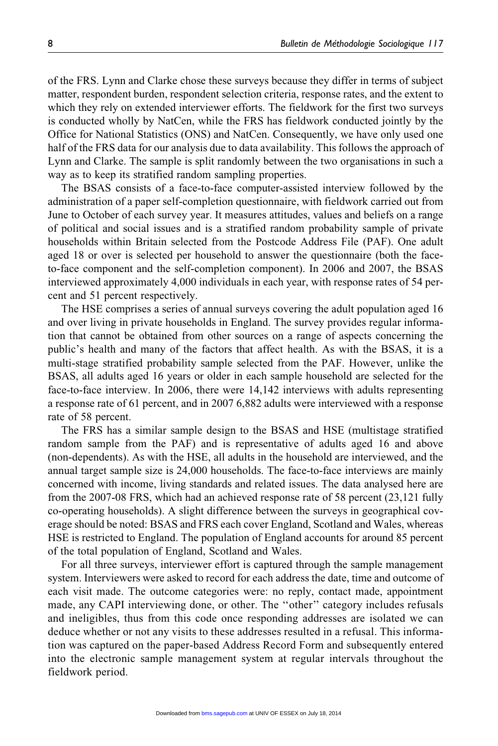of the FRS. Lynn and Clarke chose these surveys because they differ in terms of subject matter, respondent burden, respondent selection criteria, response rates, and the extent to which they rely on extended interviewer efforts. The fieldwork for the first two surveys is conducted wholly by NatCen, while the FRS has fieldwork conducted jointly by the Office for National Statistics (ONS) and NatCen. Consequently, we have only used one half of the FRS data for our analysis due to data availability. This follows the approach of Lynn and Clarke. The sample is split randomly between the two organisations in such a way as to keep its stratified random sampling properties.

The BSAS consists of a face-to-face computer-assisted interview followed by the administration of a paper self-completion questionnaire, with fieldwork carried out from June to October of each survey year. It measures attitudes, values and beliefs on a range of political and social issues and is a stratified random probability sample of private households within Britain selected from the Postcode Address File (PAF). One adult aged 18 or over is selected per household to answer the questionnaire (both the faceto-face component and the self-completion component). In 2006 and 2007, the BSAS interviewed approximately 4,000 individuals in each year, with response rates of 54 percent and 51 percent respectively.

The HSE comprises a series of annual surveys covering the adult population aged 16 and over living in private households in England. The survey provides regular information that cannot be obtained from other sources on a range of aspects concerning the public's health and many of the factors that affect health. As with the BSAS, it is a multi-stage stratified probability sample selected from the PAF. However, unlike the BSAS, all adults aged 16 years or older in each sample household are selected for the face-to-face interview. In 2006, there were 14,142 interviews with adults representing a response rate of 61 percent, and in 2007 6,882 adults were interviewed with a response rate of 58 percent.

The FRS has a similar sample design to the BSAS and HSE (multistage stratified random sample from the PAF) and is representative of adults aged 16 and above (non-dependents). As with the HSE, all adults in the household are interviewed, and the annual target sample size is 24,000 households. The face-to-face interviews are mainly concerned with income, living standards and related issues. The data analysed here are from the 2007-08 FRS, which had an achieved response rate of 58 percent (23,121 fully co-operating households). A slight difference between the surveys in geographical coverage should be noted: BSAS and FRS each cover England, Scotland and Wales, whereas HSE is restricted to England. The population of England accounts for around 85 percent of the total population of England, Scotland and Wales.

For all three surveys, interviewer effort is captured through the sample management system. Interviewers were asked to record for each address the date, time and outcome of each visit made. The outcome categories were: no reply, contact made, appointment made, any CAPI interviewing done, or other. The "other" category includes refusals and ineligibles, thus from this code once responding addresses are isolated we can deduce whether or not any visits to these addresses resulted in a refusal. This information was captured on the paper-based Address Record Form and subsequently entered into the electronic sample management system at regular intervals throughout the fieldwork period.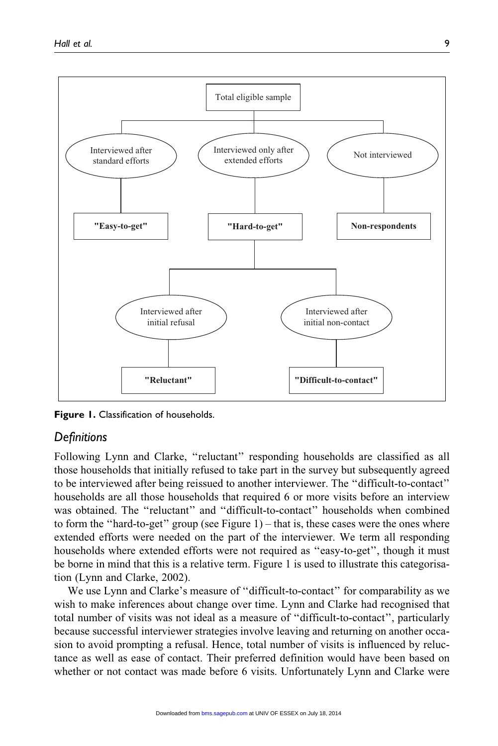

**Figure 1.** Classification of households.

# **Definitions**

Following Lynn and Clarke, ''reluctant'' responding households are classified as all those households that initially refused to take part in the survey but subsequently agreed to be interviewed after being reissued to another interviewer. The ''difficult-to-contact'' households are all those households that required 6 or more visits before an interview was obtained. The ''reluctant'' and ''difficult-to-contact'' households when combined to form the "hard-to-get" group (see Figure 1) – that is, these cases were the ones where extended efforts were needed on the part of the interviewer. We term all responding households where extended efforts were not required as ''easy-to-get'', though it must be borne in mind that this is a relative term. Figure 1 is used to illustrate this categorisation (Lynn and Clarke, 2002).

We use Lynn and Clarke's measure of ''difficult-to-contact'' for comparability as we wish to make inferences about change over time. Lynn and Clarke had recognised that total number of visits was not ideal as a measure of ''difficult-to-contact'', particularly because successful interviewer strategies involve leaving and returning on another occasion to avoid prompting a refusal. Hence, total number of visits is influenced by reluctance as well as ease of contact. Their preferred definition would have been based on whether or not contact was made before 6 visits. Unfortunately Lynn and Clarke were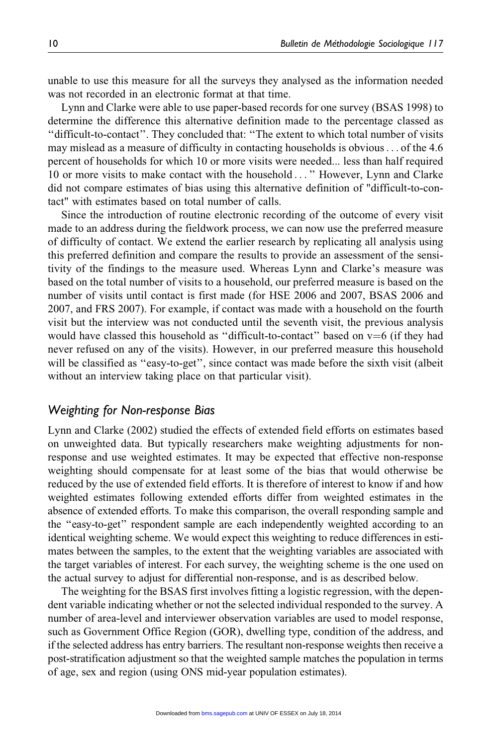unable to use this measure for all the surveys they analysed as the information needed was not recorded in an electronic format at that time.

Lynn and Clarke were able to use paper-based records for one survey (BSAS 1998) to determine the difference this alternative definition made to the percentage classed as ''difficult-to-contact''. They concluded that: ''The extent to which total number of visits may mislead as a measure of difficulty in contacting households is obvious... of the 4.6 percent of households for which 10 or more visits were needed... less than half required 10 or more visits to make contact with the household ... '' However, Lynn and Clarke did not compare estimates of bias using this alternative definition of "difficult-to-contact" with estimates based on total number of calls.

Since the introduction of routine electronic recording of the outcome of every visit made to an address during the fieldwork process, we can now use the preferred measure of difficulty of contact. We extend the earlier research by replicating all analysis using this preferred definition and compare the results to provide an assessment of the sensitivity of the findings to the measure used. Whereas Lynn and Clarke's measure was based on the total number of visits to a household, our preferred measure is based on the number of visits until contact is first made (for HSE 2006 and 2007, BSAS 2006 and 2007, and FRS 2007). For example, if contact was made with a household on the fourth visit but the interview was not conducted until the seventh visit, the previous analysis would have classed this household as "difficult-to-contact" based on  $v=6$  (if they had never refused on any of the visits). However, in our preferred measure this household will be classified as ''easy-to-get'', since contact was made before the sixth visit (albeit without an interview taking place on that particular visit).

#### Weighting for Non-response Bias

Lynn and Clarke (2002) studied the effects of extended field efforts on estimates based on unweighted data. But typically researchers make weighting adjustments for nonresponse and use weighted estimates. It may be expected that effective non-response weighting should compensate for at least some of the bias that would otherwise be reduced by the use of extended field efforts. It is therefore of interest to know if and how weighted estimates following extended efforts differ from weighted estimates in the absence of extended efforts. To make this comparison, the overall responding sample and the ''easy-to-get'' respondent sample are each independently weighted according to an identical weighting scheme. We would expect this weighting to reduce differences in estimates between the samples, to the extent that the weighting variables are associated with the target variables of interest. For each survey, the weighting scheme is the one used on the actual survey to adjust for differential non-response, and is as described below.

The weighting for the BSAS first involves fitting a logistic regression, with the dependent variable indicating whether or not the selected individual responded to the survey. A number of area-level and interviewer observation variables are used to model response, such as Government Office Region (GOR), dwelling type, condition of the address, and if the selected address has entry barriers. The resultant non-response weights then receive a post-stratification adjustment so that the weighted sample matches the population in terms of age, sex and region (using ONS mid-year population estimates).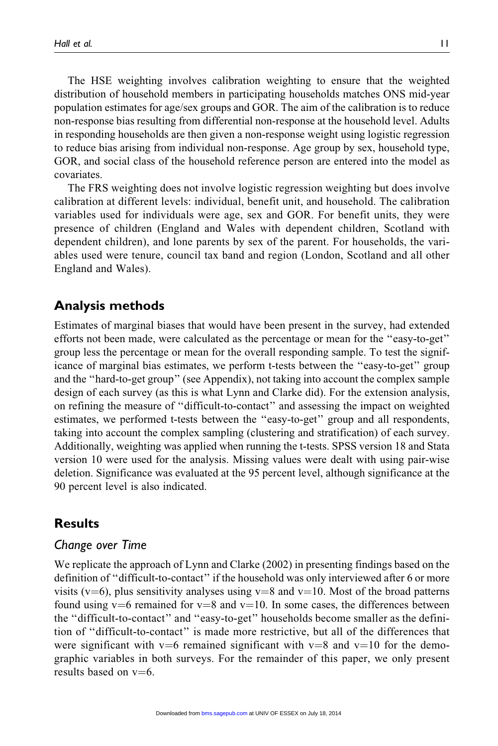The HSE weighting involves calibration weighting to ensure that the weighted distribution of household members in participating households matches ONS mid-year population estimates for age/sex groups and GOR. The aim of the calibration is to reduce non-response bias resulting from differential non-response at the household level. Adults in responding households are then given a non-response weight using logistic regression to reduce bias arising from individual non-response. Age group by sex, household type, GOR, and social class of the household reference person are entered into the model as covariates.

The FRS weighting does not involve logistic regression weighting but does involve calibration at different levels: individual, benefit unit, and household. The calibration variables used for individuals were age, sex and GOR. For benefit units, they were presence of children (England and Wales with dependent children, Scotland with dependent children), and lone parents by sex of the parent. For households, the variables used were tenure, council tax band and region (London, Scotland and all other England and Wales).

# Analysis methods

Estimates of marginal biases that would have been present in the survey, had extended efforts not been made, were calculated as the percentage or mean for the ''easy-to-get'' group less the percentage or mean for the overall responding sample. To test the significance of marginal bias estimates, we perform t-tests between the ''easy-to-get'' group and the ''hard-to-get group'' (see Appendix), not taking into account the complex sample design of each survey (as this is what Lynn and Clarke did). For the extension analysis, on refining the measure of ''difficult-to-contact'' and assessing the impact on weighted estimates, we performed t-tests between the ''easy-to-get'' group and all respondents, taking into account the complex sampling (clustering and stratification) of each survey. Additionally, weighting was applied when running the t-tests. SPSS version 18 and Stata version 10 were used for the analysis. Missing values were dealt with using pair-wise deletion. Significance was evaluated at the 95 percent level, although significance at the 90 percent level is also indicated.

# **Results**

# Change over Time

We replicate the approach of Lynn and Clarke (2002) in presenting findings based on the definition of ''difficult-to-contact'' if the household was only interviewed after 6 or more visits ( $v=6$ ), plus sensitivity analyses using  $v=8$  and  $v=10$ . Most of the broad patterns found using v=6 remained for v=8 and v=10. In some cases, the differences between the ''difficult-to-contact'' and ''easy-to-get'' households become smaller as the definition of ''difficult-to-contact'' is made more restrictive, but all of the differences that were significant with v=6 remained significant with v=8 and v=10 for the demographic variables in both surveys. For the remainder of this paper, we only present results based on  $v=6$ .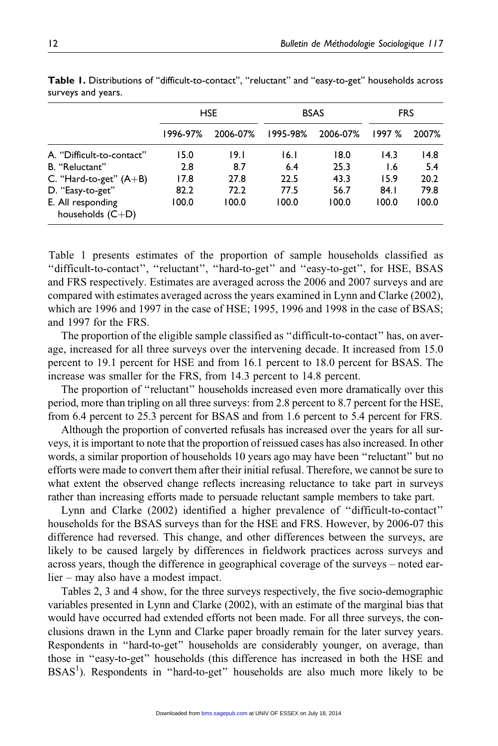|                                         |          | <b>HSE</b> |          | <b>BSAS</b> | <b>FRS</b> |       |  |
|-----------------------------------------|----------|------------|----------|-------------|------------|-------|--|
|                                         | 1996-97% | 2006-07%   | 1995-98% | 2006-07%    | 1997 %     | 2007% |  |
| A. "Difficult-to-contact"               | 15.0     | 19.1       | 16.1     | 18.0        | 14.3       | 14.8  |  |
| B. "Reluctant"                          | 2.8      | 8.7        | 6.4      | 25.3        | I.6        | 5.4   |  |
| C. "Hard-to-get" $(A+B)$                | 17.8     | 27.8       | 22.5     | 43.3        | 15.9       | 20.2  |  |
| D. "Easy-to-get"                        | 82.2     | 72.2       | 77.5     | 56.7        | 84.1       | 79.8  |  |
| E. All responding<br>households $(C+D)$ | 100.0    | 100.0      | 100.0    | 100.0       | 100.0      | 100.0 |  |

Table 1. Distributions of ''difficult-to-contact'', ''reluctant'' and ''easy-to-get'' households across surveys and years.

Table 1 presents estimates of the proportion of sample households classified as ''difficult-to-contact'', ''reluctant'', ''hard-to-get'' and ''easy-to-get'', for HSE, BSAS and FRS respectively. Estimates are averaged across the 2006 and 2007 surveys and are compared with estimates averaged across the years examined in Lynn and Clarke (2002), which are 1996 and 1997 in the case of HSE; 1995, 1996 and 1998 in the case of BSAS; and 1997 for the FRS.

The proportion of the eligible sample classified as ''difficult-to-contact'' has, on average, increased for all three surveys over the intervening decade. It increased from 15.0 percent to 19.1 percent for HSE and from 16.1 percent to 18.0 percent for BSAS. The increase was smaller for the FRS, from 14.3 percent to 14.8 percent.

The proportion of ''reluctant'' households increased even more dramatically over this period, more than tripling on all three surveys: from 2.8 percent to 8.7 percent for the HSE, from 6.4 percent to 25.3 percent for BSAS and from 1.6 percent to 5.4 percent for FRS.

Although the proportion of converted refusals has increased over the years for all surveys, it is important to note that the proportion of reissued cases has also increased. In other words, a similar proportion of households 10 years ago may have been ''reluctant'' but no efforts were made to convert them after their initial refusal. Therefore, we cannot be sure to what extent the observed change reflects increasing reluctance to take part in surveys rather than increasing efforts made to persuade reluctant sample members to take part.

Lynn and Clarke (2002) identified a higher prevalence of ''difficult-to-contact'' households for the BSAS surveys than for the HSE and FRS. However, by 2006-07 this difference had reversed. This change, and other differences between the surveys, are likely to be caused largely by differences in fieldwork practices across surveys and across years, though the difference in geographical coverage of the surveys – noted earlier – may also have a modest impact.

Tables 2, 3 and 4 show, for the three surveys respectively, the five socio-demographic variables presented in Lynn and Clarke (2002), with an estimate of the marginal bias that would have occurred had extended efforts not been made. For all three surveys, the conclusions drawn in the Lynn and Clarke paper broadly remain for the later survey years. Respondents in ''hard-to-get'' households are considerably younger, on average, than those in ''easy-to-get'' households (this difference has increased in both the HSE and BSAS<sup>1</sup>). Respondents in "hard-to-get" households are also much more likely to be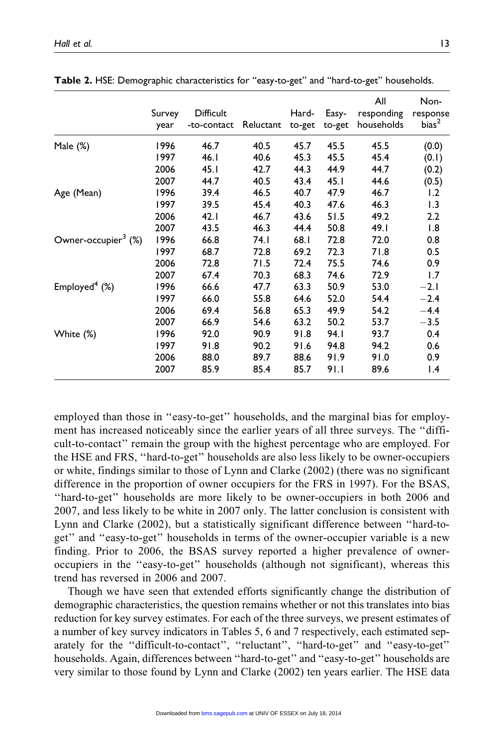|                                 | Survey<br>year | Difficult<br>-to-contact | Reluctant | Hard-<br>to-get | Easy-<br>to-get | All<br>responding<br>households | Non-<br>response<br>bias <sup>2</sup> |
|---------------------------------|----------------|--------------------------|-----------|-----------------|-----------------|---------------------------------|---------------------------------------|
| Male (%)                        | 1996           | 46.7                     | 40.5      | 45.7            | 45.5            | 45.5                            | (0.0)                                 |
|                                 | 1997           | 46. l                    | 40.6      | 45.3            | 45.5            | 45.4                            | (0.1)                                 |
|                                 | 2006           | 45.1                     | 42.7      | 44.3            | 44.9            | 44.7                            | (0.2)                                 |
|                                 | 2007           | 44.7                     | 40.5      | 43.4            | 45.1            | 44.6                            | (0.5)                                 |
| Age (Mean)                      | 1996           | 39.4                     | 46.5      | 40.7            | 47.9            | 46.7                            | 1.2                                   |
|                                 | 1997           | 39.5                     | 45.4      | 40.3            | 47.6            | 46.3                            | 1.3                                   |
|                                 | 2006           | 42.1                     | 46.7      | 43.6            | 51.5            | 49.2                            | 2.2                                   |
|                                 | 2007           | 43.5                     | 46.3      | 44.4            | 50.8            | 49.1                            | 1.8                                   |
| Owner-occupier <sup>3</sup> (%) | 1996           | 66.8                     | 74. I     | 68.1            | 72.8            | 72.0                            | 0.8                                   |
|                                 | 1997           | 68.7                     | 72.8      | 69.2            | 72.3            | 71.8                            | 0.5                                   |
|                                 | 2006           | 72.8                     | 71.5      | 72.4            | 75.5            | 74.6                            | 0.9                                   |
|                                 | 2007           | 67.4                     | 70.3      | 68.3            | 74.6            | 72.9                            | 1.7                                   |
| Employed $4$ (%)                | 1996           | 66.6                     | 47.7      | 63.3            | 50.9            | 53.0                            | $-2.1$                                |
|                                 | 1997           | 66.0                     | 55.8      | 64.6            | 52.0            | 54.4                            | $-2.4$                                |
|                                 | 2006           | 69.4                     | 56.8      | 65.3            | 49.9            | 54.2                            | $-4.4$                                |
|                                 | 2007           | 66.9                     | 54.6      | 63.2            | 50.2            | 53.7                            | $-3.5$                                |
| White (%)                       | 1996           | 92.0                     | 90.9      | 91.8            | 94.I            | 93.7                            | 0.4                                   |
|                                 | 1997           | 91.8                     | 90.2      | 91.6            | 94.8            | 94.2                            | 0.6                                   |
|                                 | 2006           | 88.0                     | 89.7      | 88.6            | 91.9            | 91.0                            | 0.9                                   |
|                                 | 2007           | 85.9                     | 85.4      | 85.7            | 91.I            | 89.6                            | $\mathsf{I}$ .4                       |

Table 2. HSE: Demographic characteristics for ''easy-to-get'' and ''hard-to-get'' households.

employed than those in "easy-to-get" households, and the marginal bias for employment has increased noticeably since the earlier years of all three surveys. The ''difficult-to-contact'' remain the group with the highest percentage who are employed. For the HSE and FRS, ''hard-to-get'' households are also less likely to be owner-occupiers or white, findings similar to those of Lynn and Clarke (2002) (there was no significant difference in the proportion of owner occupiers for the FRS in 1997). For the BSAS, ''hard-to-get'' households are more likely to be owner-occupiers in both 2006 and 2007, and less likely to be white in 2007 only. The latter conclusion is consistent with Lynn and Clarke (2002), but a statistically significant difference between ''hard-toget'' and ''easy-to-get'' households in terms of the owner-occupier variable is a new finding. Prior to 2006, the BSAS survey reported a higher prevalence of owneroccupiers in the ''easy-to-get'' households (although not significant), whereas this trend has reversed in 2006 and 2007.

Though we have seen that extended efforts significantly change the distribution of demographic characteristics, the question remains whether or not this translates into bias reduction for key survey estimates. For each of the three surveys, we present estimates of a number of key survey indicators in Tables 5, 6 and 7 respectively, each estimated separately for the ''difficult-to-contact'', ''reluctant'', ''hard-to-get'' and ''easy-to-get'' households. Again, differences between ''hard-to-get'' and ''easy-to-get'' households are very similar to those found by Lynn and Clarke (2002) ten years earlier. The HSE data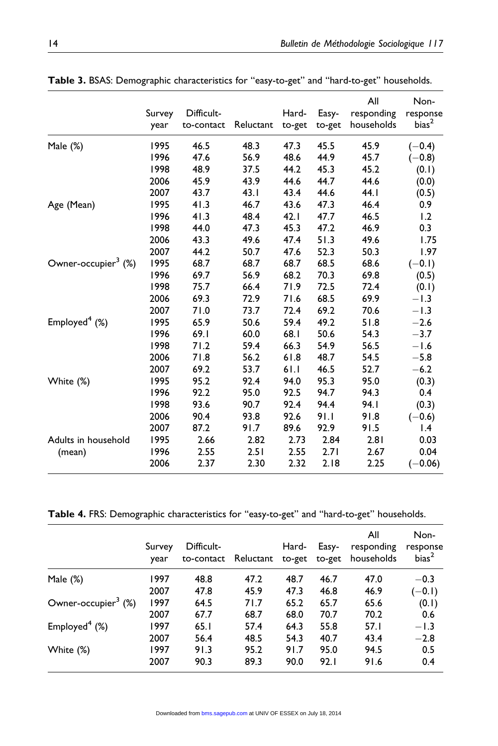|                                 | Survey<br>year | Difficult-<br>to-contact | Reluctant | Hard-<br>to-get | Easy-<br>to-get | All<br>responding<br>households | Non-<br>response<br>bias <sup>2</sup> |
|---------------------------------|----------------|--------------------------|-----------|-----------------|-----------------|---------------------------------|---------------------------------------|
| Male (%)                        | 1995           | 46.5                     | 48.3      | 47.3            | 45.5            | 45.9                            | $(-0.4)$                              |
|                                 | 1996           | 47.6                     | 56.9      | 48.6            | 44.9            | 45.7                            | $(-0.8)$                              |
|                                 | 1998           | 48.9                     | 37.5      | 44.2            | 45.3            | 45.2                            | (0.1)                                 |
|                                 | 2006           | 45.9                     | 43.9      | 44.6            | 44.7            | 44.6                            | (0.0)                                 |
|                                 | 2007           | 43.7                     | 43.1      | 43.4            | 44.6            | 44.1                            | (0.5)                                 |
| Age (Mean)                      | 1995           | 41.3                     | 46.7      | 43.6            | 47.3            | 46.4                            | 0.9                                   |
|                                 | 1996           | 41.3                     | 48.4      | 42.1            | 47.7            | 46.5                            | 1.2                                   |
|                                 | 1998           | 44.0                     | 47.3      | 45.3            | 47.2            | 46.9                            | 0.3                                   |
|                                 | 2006           | 43.3                     | 49.6      | 47.4            | 51.3            | 49.6                            | 1.75                                  |
|                                 | 2007           | 44.2                     | 50.7      | 47.6            | 52.3            | 50.3                            | 1.97                                  |
| Owner-occupier <sup>3</sup> (%) | 1995           | 68.7                     | 68.7      | 68.7            | 68.5            | 68.6                            | $(-0.1)$                              |
|                                 | 1996           | 69.7                     | 56.9      | 68.2            | 70.3            | 69.8                            | (0.5)                                 |
|                                 | 1998           | 75.7                     | 66.4      | 71.9            | 72.5            | 72.4                            | (0.1)                                 |
|                                 | 2006           | 69.3                     | 72.9      | 71.6            | 68.5            | 69.9                            | $-1.3$                                |
|                                 | 2007           | 71.0                     | 73.7      | 72.4            | 69.2            | 70.6                            | $-1.3$                                |
| Employed $4$ (%)                | 1995           | 65.9                     | 50.6      | 59.4            | 49.2            | 51.8                            | $-2.6$                                |
|                                 | 1996           | 69.1                     | 60.0      | 68.1            | 50.6            | 54.3                            | $-3.7$                                |
|                                 | 1998           | 71.2                     | 59.4      | 66.3            | 54.9            | 56.5                            | $-1.6$                                |
|                                 | 2006           | 71.8                     | 56.2      | 61.8            | 48.7            | 54.5                            | $-5.8$                                |
|                                 | 2007           | 69.2                     | 53.7      | 61.1            | 46.5            | 52.7                            | $-6.2$                                |
| White (%)                       | 1995           | 95.2                     | 92.4      | 94.0            | 95.3            | 95.0                            | (0.3)                                 |
|                                 | 1996           | 92.2                     | 95.0      | 92.5            | 94.7            | 94.3                            | 0.4                                   |
|                                 | 1998           | 93.6                     | 90.7      | 92.4            | 94.4            | 94.I                            | (0.3)                                 |
|                                 | 2006           | 90.4                     | 93.8      | 92.6            | 91.1            | 91.8                            | $(-0.6)$                              |
|                                 | 2007           | 87.2                     | 91.7      | 89.6            | 92.9            | 91.5                            | $\mathsf{I}$ .4                       |
| Adults in household             | 1995           | 2.66                     | 2.82      | 2.73            | 2.84            | 2.81                            | 0.03                                  |
| (mean)                          | 1996           | 2.55                     | 2.51      | 2.55            | 2.71            | 2.67                            | 0.04                                  |
|                                 | 2006           | 2.37                     | 2.30      | 2.32            | 2.18            | 2.25                            | $(-0.06)$                             |

Table 3. BSAS: Demographic characteristics for "easy-to-get" and "hard-to-get" households.

Table 4. FRS: Demographic characteristics for ''easy-to-get'' and ''hard-to-get'' households.

|                                 | Survey<br>year | Difficult-<br>to-contact | Reluctant | Hard-<br>to-get | Easy-<br>to-get | All<br>responding<br>households | Non-<br>response<br>bias <sup>2</sup> |
|---------------------------------|----------------|--------------------------|-----------|-----------------|-----------------|---------------------------------|---------------------------------------|
| Male $(\%)$                     | 1997           | 48.8                     | 47.2      | 48.7            | 46.7            | 47.0                            | $-0.3$                                |
|                                 | 2007           | 47.8                     | 45.9      | 47.3            | 46.8            | 46.9                            | $(-0.1)$                              |
| Owner-occupier <sup>3</sup> (%) | 1997           | 64.5                     | 71.7      | 65.2            | 65.7            | 65.6                            | (0.1)                                 |
|                                 | 2007           | 67.7                     | 68.7      | 68.0            | 70.7            | 70.2                            | 0.6                                   |
| Employed $4$ (%)                | 1997           | 65.1                     | 57.4      | 64.3            | 55.8            | 57.1                            | $-1.3$                                |
|                                 | 2007           | 56.4                     | 48.5      | 54.3            | 40.7            | 43.4                            | $-2.8$                                |
| White (%)                       | 1997           | 91.3                     | 95.2      | 91.7            | 95.0            | 94.5                            | 0.5                                   |
|                                 | 2007           | 90.3                     | 89.3      | 90.0            | 92.1            | 91.6                            | 0.4                                   |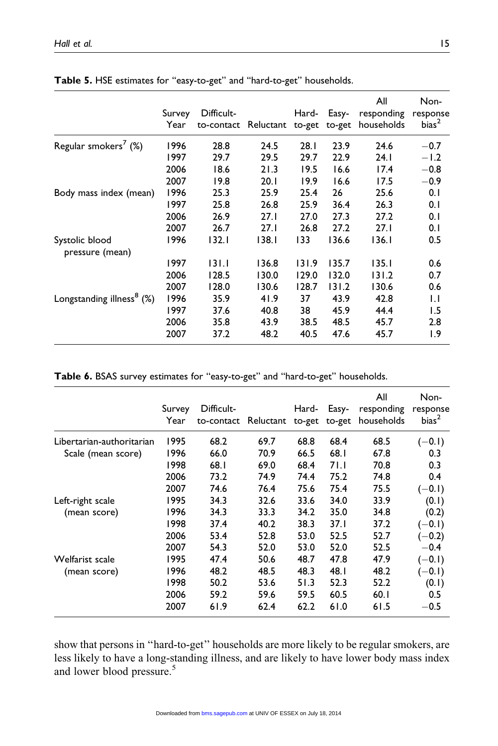|                                       | Survey<br>Year | Difficult-<br>to-contact | Reluctant to-get | Hard- | Easy-<br>to-get | All<br>responding<br>households | Non-<br>response<br>bias <sup>2</sup> |
|---------------------------------------|----------------|--------------------------|------------------|-------|-----------------|---------------------------------|---------------------------------------|
| Regular smokers <sup>7</sup> (%)      | 1996           | 28.8                     | 24.5             | 28.1  | 23.9            | 24.6                            | $-0.7$                                |
|                                       | 1997           | 29.7                     | 29.5             | 29.7  | 22.9            | 24. I                           | $-1.2$                                |
|                                       | 2006           | 18.6                     | 21.3             | 19.5  | 16.6            | 17.4                            | $-0.8$                                |
|                                       | 2007           | 19.8                     | 20.1             | 19.9  | 16.6            | 17.5                            | $-0.9$                                |
| Body mass index (mean)                | 1996           | 25.3                     | 25.9             | 25.4  | 26              | 25.6                            | 0.1                                   |
|                                       | 1997           | 25.8                     | 26.8             | 25.9  | 36.4            | 26.3                            | 0.1                                   |
|                                       | 2006           | 26.9                     | 27.1             | 27.0  | 27.3            | 27.2                            | 0.1                                   |
|                                       | 2007           | 26.7                     | 27.1             | 26.8  | 27.2            | 27.1                            | 0.1                                   |
| Systolic blood<br>pressure (mean)     | 1996           | 132.1                    | 138.1            | 133   | 136.6           | 136.1                           | 0.5                                   |
|                                       | 1997           | 131.1                    | 136.8            | 131.9 | 135.7           | 135.1                           | 0.6                                   |
|                                       | 2006           | 128.5                    | 130.0            | 129.0 | 132.0           | 131.2                           | 0.7                                   |
|                                       | 2007           | 128.0                    | 130.6            | 128.7 | 131.2           | 130.6                           | 0.6                                   |
| Longstanding illness <sup>8</sup> (%) | 1996           | 35.9                     | 41.9             | 37    | 43.9            | 42.8                            | $\mathsf{L}$                          |
|                                       | 1997           | 37.6                     | 40.8             | 38    | 45.9            | 44.4                            | 1.5                                   |
|                                       | 2006           | 35.8                     | 43.9             | 38.5  | 48.5            | 45.7                            | 2.8                                   |
|                                       | 2007           | 37.2                     | 48.2             | 40.5  | 47.6            | 45.7                            | $\overline{1.9}$                      |

Table 5. HSE estimates for ''easy-to-get'' and ''hard-to-get'' households.

Table 6. BSAS survey estimates for ''easy-to-get'' and ''hard-to-get'' households.

|                           |                |                          |           |                 |                 | All                      | Non-                          |
|---------------------------|----------------|--------------------------|-----------|-----------------|-----------------|--------------------------|-------------------------------|
|                           | Survey<br>Year | Difficult-<br>to-contact | Reluctant | Hard-<br>to-get | Easy-<br>to-get | responding<br>households | response<br>bias <sup>2</sup> |
| Libertarian-authoritarian | 1995           | 68.2                     | 69.7      | 68.8            | 68.4            | 68.5                     | $(-0.1)$                      |
| Scale (mean score)        | 1996           | 66.0                     | 70.9      | 66.5            | 68.1            | 67.8                     | 0.3                           |
|                           | 1998           | 68.1                     | 69.0      | 68.4            | 71.1            | 70.8                     | 0.3                           |
|                           | 2006           | 73.2                     | 74.9      | 74.4            | 75.2            | 74.8                     | 0.4                           |
|                           | 2007           | 74.6                     | 76.4      | 75.6            | 75.4            | 75.5                     | $(-0.1)$                      |
| Left-right scale          | 1995           | 34.3                     | 32.6      | 33.6            | 34.0            | 33.9                     | (0.1)                         |
| (mean score)              | 1996           | 34.3                     | 33.3      | 34.2            | 35.0            | 34.8                     | (0.2)                         |
|                           | 1998           | 37.4                     | 40.2      | 38.3            | 37.1            | 37.2                     | $(-0.1)$                      |
|                           | 2006           | 53.4                     | 52.8      | 53.0            | 52.5            | 52.7                     | $(-0.2)$                      |
|                           | 2007           | 54.3                     | 52.0      | 53.0            | 52.0            | 52.5                     | $-0.4$                        |
| Welfarist scale           | 1995           | 47.4                     | 50.6      | 48.7            | 47.8            | 47.9                     | $(-0.1)$                      |
| (mean score)              | 1996           | 48.2                     | 48.5      | 48.3            | 48.I            | 48.2                     | $(-0.1)$                      |
|                           | 1998           | 50.2                     | 53.6      | 51.3            | 52.3            | 52.2                     | (0.1)                         |
|                           | 2006           | 59.2                     | 59.6      | 59.5            | 60.5            | 60.1                     | 0.5                           |
|                           | 2007           | 61.9                     | 62.4      | 62.2            | 61.0            | 61.5                     | $-0.5$                        |

show that persons in ''hard-to-get'' households are more likely to be regular smokers, are less likely to have a long-standing illness, and are likely to have lower body mass index and lower blood pressure.<sup>5</sup>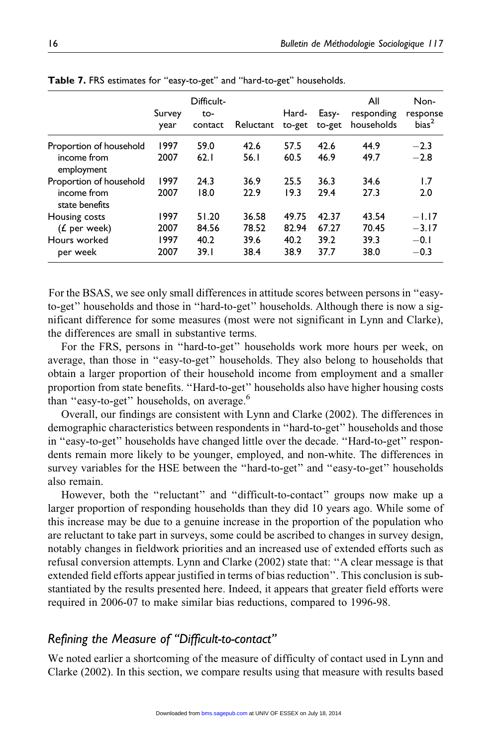|                                                             | Survey<br>year               | Difficult-<br>to-<br>contact   | Reluctant                      | Hard-<br>to-get                | Easy-<br>to-get                | All<br>responding<br>households | Non-<br>response<br>bias <sup>2</sup>  |
|-------------------------------------------------------------|------------------------------|--------------------------------|--------------------------------|--------------------------------|--------------------------------|---------------------------------|----------------------------------------|
| Proportion of household<br>income from<br>employment        | 1997<br>2007                 | 59.0<br>62.1                   | 42.6<br>56.1                   | 57.5<br>60.5                   | 42.6<br>46.9                   | 44.9<br>49.7                    | $-2.3$<br>$-2.8$                       |
| Proportion of household<br>income from<br>state benefits    | 1997<br>2007                 | 24.3<br>18.0                   | 36.9<br>22.9                   | 25.5<br>19.3                   | 36.3<br>29.4                   | 34.6<br>27.3                    | 1.7<br>2.0                             |
| Housing costs<br>$(f$ per week)<br>Hours worked<br>per week | 1997<br>2007<br>1997<br>2007 | 51.20<br>84.56<br>40.2<br>39.1 | 36.58<br>78.52<br>39.6<br>38.4 | 49.75<br>82.94<br>40.2<br>38.9 | 42.37<br>67.27<br>39.2<br>37.7 | 43.54<br>70.45<br>39.3<br>38.0  | $-1.17$<br>$-3.17$<br>$-0.1$<br>$-0.3$ |

Table 7. FRS estimates for "easy-to-get" and "hard-to-get" households.

For the BSAS, we see only small differences in attitude scores between persons in "easyto-get'' households and those in ''hard-to-get'' households. Although there is now a significant difference for some measures (most were not significant in Lynn and Clarke), the differences are small in substantive terms.

For the FRS, persons in ''hard-to-get'' households work more hours per week, on average, than those in ''easy-to-get'' households. They also belong to households that obtain a larger proportion of their household income from employment and a smaller proportion from state benefits. ''Hard-to-get'' households also have higher housing costs than "easy-to-get" households, on average.<sup>6</sup>

Overall, our findings are consistent with Lynn and Clarke (2002). The differences in demographic characteristics between respondents in ''hard-to-get'' households and those in ''easy-to-get'' households have changed little over the decade. ''Hard-to-get'' respondents remain more likely to be younger, employed, and non-white. The differences in survey variables for the HSE between the ''hard-to-get'' and ''easy-to-get'' households also remain.

However, both the ''reluctant'' and ''difficult-to-contact'' groups now make up a larger proportion of responding households than they did 10 years ago. While some of this increase may be due to a genuine increase in the proportion of the population who are reluctant to take part in surveys, some could be ascribed to changes in survey design, notably changes in fieldwork priorities and an increased use of extended efforts such as refusal conversion attempts. Lynn and Clarke (2002) state that: ''A clear message is that extended field efforts appear justified in terms of bias reduction''. This conclusion is substantiated by the results presented here. Indeed, it appears that greater field efforts were required in 2006-07 to make similar bias reductions, compared to 1996-98.

# Refining the Measure of ''Difficult-to-contact''

We noted earlier a shortcoming of the measure of difficulty of contact used in Lynn and Clarke (2002). In this section, we compare results using that measure with results based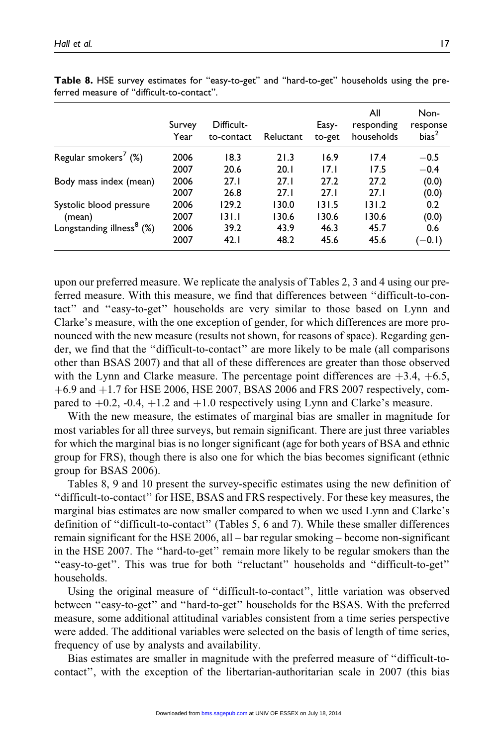|                                       | Survey<br>Year | Difficult-<br>to-contact | Reluctant | Easy-<br>to-get | All<br>responding<br>households | Non-<br>response<br>bias <sup>2</sup> |
|---------------------------------------|----------------|--------------------------|-----------|-----------------|---------------------------------|---------------------------------------|
| Regular smokers <sup>7</sup> $(\%)$   | 2006           | 18.3                     | 21.3      | 16.9            | 17.4                            | $-0.5$                                |
|                                       | 2007           | 20.6                     | 20.1      | 17.1            | 17.5                            | $-0.4$                                |
| Body mass index (mean)                | 2006           | 27.1                     | 27.1      | 27.2            | 27.2                            | (0.0)                                 |
|                                       | 2007           | 26.8                     | 27.1      | 27.1            | 27.1                            | (0.0)                                 |
| Systolic blood pressure               | 2006           | 129.2                    | 130.0     | 131.5           | 131.2                           | 0.2                                   |
| (mean)                                | 2007           | 131.1                    | 130.6     | 130.6           | 130.6                           | (0.0)                                 |
| Longstanding illness <sup>8</sup> (%) | 2006           | 39.2                     | 43.9      | 46.3            | 45.7                            | 0.6                                   |
|                                       | 2007           | 42.1                     | 48.2      | 45.6            | 45.6                            | $(-0.1)$                              |

Table 8. HSE survey estimates for ''easy-to-get'' and ''hard-to-get'' households using the preferred measure of ''difficult-to-contact''.

upon our preferred measure. We replicate the analysis of Tables 2, 3 and 4 using our preferred measure. With this measure, we find that differences between ''difficult-to-contact'' and ''easy-to-get'' households are very similar to those based on Lynn and Clarke's measure, with the one exception of gender, for which differences are more pronounced with the new measure (results not shown, for reasons of space). Regarding gender, we find that the ''difficult-to-contact'' are more likely to be male (all comparisons other than BSAS 2007) and that all of these differences are greater than those observed with the Lynn and Clarke measure. The percentage point differences are  $+3.4, +6.5$ ,  $+6.9$  and  $+1.7$  for HSE 2006, HSE 2007, BSAS 2006 and FRS 2007 respectively, compared to  $+0.2$ ,  $-0.4$ ,  $+1.2$  and  $+1.0$  respectively using Lynn and Clarke's measure.

With the new measure, the estimates of marginal bias are smaller in magnitude for most variables for all three surveys, but remain significant. There are just three variables for which the marginal bias is no longer significant (age for both years of BSA and ethnic group for FRS), though there is also one for which the bias becomes significant (ethnic group for BSAS 2006).

Tables 8, 9 and 10 present the survey-specific estimates using the new definition of ''difficult-to-contact'' for HSE, BSAS and FRS respectively. For these key measures, the marginal bias estimates are now smaller compared to when we used Lynn and Clarke's definition of ''difficult-to-contact'' (Tables 5, 6 and 7). While these smaller differences remain significant for the HSE 2006, all – bar regular smoking – become non-significant in the HSE 2007. The ''hard-to-get'' remain more likely to be regular smokers than the ''easy-to-get''. This was true for both ''reluctant'' households and ''difficult-to-get'' households.

Using the original measure of ''difficult-to-contact'', little variation was observed between ''easy-to-get'' and ''hard-to-get'' households for the BSAS. With the preferred measure, some additional attitudinal variables consistent from a time series perspective were added. The additional variables were selected on the basis of length of time series, frequency of use by analysts and availability.

Bias estimates are smaller in magnitude with the preferred measure of ''difficult-tocontact'', with the exception of the libertarian-authoritarian scale in 2007 (this bias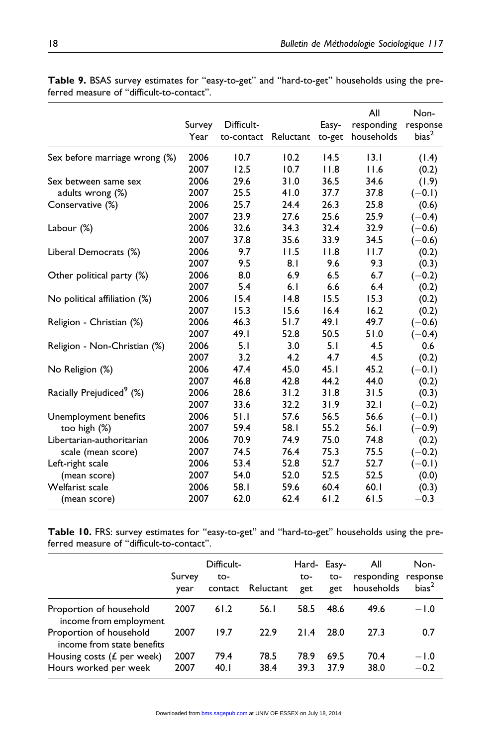|                                      | Survey<br>Year | Difficult-<br>to-contact | Reluctant to-get | Easy- | All<br>responding<br>households | Non-<br>response<br>bias <sup>2</sup> |
|--------------------------------------|----------------|--------------------------|------------------|-------|---------------------------------|---------------------------------------|
| Sex before marriage wrong (%)        | 2006           | 10.7                     | 10.2             | 14.5  | 13.1                            | (1.4)                                 |
|                                      | 2007           | 12.5                     | 10.7             | 11.8  | 11.6                            | (0.2)                                 |
| Sex between same sex                 | 2006           | 29.6                     | 31.0             | 36.5  | 34.6                            | (1.9)                                 |
| adults wrong (%)                     | 2007           | 25.5                     | 41.0             | 37.7  | 37.8                            | $(-0.1)$                              |
| Conservative (%)                     | 2006           | 25.7                     | 24.4             | 26.3  | 25.8                            | (0.6)                                 |
|                                      | 2007           | 23.9                     | 27.6             | 25.6  | 25.9                            | $(-0.4)$                              |
| Labour (%)                           | 2006           | 32.6                     | 34.3             | 32.4  | 32.9                            | $(-0.6)$                              |
|                                      | 2007           | 37.8                     | 35.6             | 33.9  | 34.5                            | $(-0.6)$                              |
| Liberal Democrats (%)                | 2006           | 9.7                      | 11.5             | 11.8  | 11.7                            | (0.2)                                 |
|                                      | 2007           | 9.5                      | 8.1              | 9.6   | 9.3                             | (0.3)                                 |
| Other political party (%)            | 2006           | 8.0                      | 6.9              | 6.5   | 6.7                             | $(-0.2)$                              |
|                                      | 2007           | 5.4                      | 6.1              | 6.6   | 6.4                             | (0.2)                                 |
| No political affiliation (%)         | 2006           | 15.4                     | 14.8             | 15.5  | 15.3                            | (0.2)                                 |
|                                      | 2007           | 15.3                     | 15.6             | 16.4  | 16.2                            | (0.2)                                 |
| Religion - Christian (%)             | 2006           | 46.3                     | 51.7             | 49.1  | 49.7                            | $(-0.6)$                              |
|                                      | 2007           | 49.1                     | 52.8             | 50.5  | 51.0                            | $(-0.4)$                              |
| Religion - Non-Christian (%)         | 2006           | 5.1                      | 3.0              | 5.1   | 4.5                             | 0.6                                   |
|                                      | 2007           | 3.2                      | 4.2              | 4.7   | 4.5                             | (0.2)                                 |
| No Religion (%)                      | 2006           | 47.4                     | 45.0             | 45.1  | 45.2                            | $(-0.1)$                              |
|                                      | 2007           | 46.8                     | 42.8             | 44.2  | 44.0                            | (0.2)                                 |
| Racially Prejudiced <sup>9</sup> (%) | 2006           | 28.6                     | 31.2             | 31.8  | 31.5                            | (0.3)                                 |
|                                      | 2007           | 33.6                     | 32.2             | 31.9  | 32.1                            | $(-0.2)$                              |
| Unemployment benefits                | 2006           | 51.1                     | 57.6             | 56.5  | 56.6                            | $(-0.1)$                              |
| too high (%)                         | 2007           | 59.4                     | 58.1             | 55.2  | 56.1                            | $(-0.9)$                              |
| Libertarian-authoritarian            | 2006           | 70.9                     | 74.9             | 75.0  | 74.8                            | (0.2)                                 |
| scale (mean score)                   | 2007           | 74.5                     | 76.4             | 75.3  | 75.5                            | $(-0.2)$                              |
| Left-right scale                     | 2006           | 53.4                     | 52.8             | 52.7  | 52.7                            | $(-0.1)$                              |
| (mean score)                         | 2007           | 54.0                     | 52.0             | 52.5  | 52.5                            | (0.0)                                 |
| Welfarist scale                      | 2006           | 58.1                     | 59.6             | 60.4  | 60.1                            | (0.3)                                 |
| (mean score)                         | 2007           | 62.0                     | 62.4             | 61.2  | 61.5                            | $-0.3$                                |

Table 9. BSAS survey estimates for ''easy-to-get'' and ''hard-to-get'' households using the preferred measure of ''difficult-to-contact''.

Table 10. FRS: survey estimates for "easy-to-get" and "hard-to-get" households using the preferred measure of ''difficult-to-contact''.

|                                                        | Survey<br>year | Difficult-<br>to-<br>contact | Reluctant    | Hard- Easy-<br>to-<br>get | to-<br>get   | All<br>responding response<br>households | Non-<br>bias <sup>2</sup> |
|--------------------------------------------------------|----------------|------------------------------|--------------|---------------------------|--------------|------------------------------------------|---------------------------|
| Proportion of household<br>income from employment      | 2007           | 61.2                         | 56.I         | 58.5                      | 48.6         | 49.6                                     | $-1.0$                    |
| Proportion of household<br>income from state benefits  | 2007           | 19.7                         | 22.9         | 21.4                      | 28.0         | 27.3                                     | 0.7                       |
| Housing costs ( $E$ per week)<br>Hours worked per week | 2007<br>2007   | 79.4<br>40.1                 | 78.5<br>38.4 | 78.9<br>39.3              | 69.5<br>37.9 | 70.4<br>38.0                             | $-1.0$<br>$-0.2$          |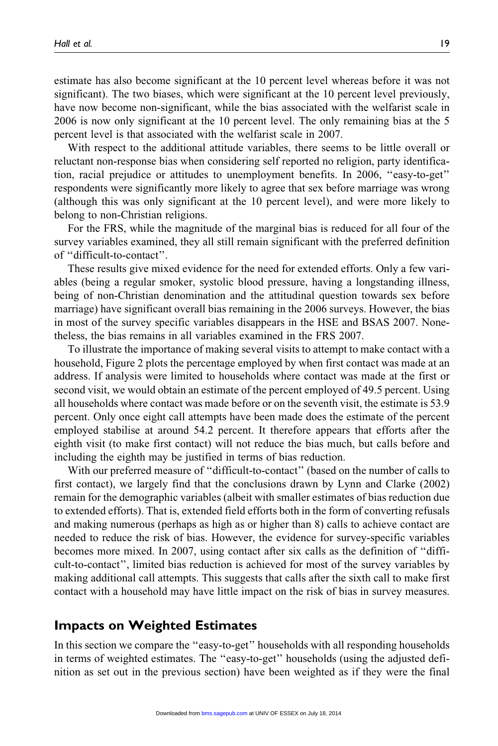estimate has also become significant at the 10 percent level whereas before it was not significant). The two biases, which were significant at the 10 percent level previously, have now become non-significant, while the bias associated with the welfarist scale in 2006 is now only significant at the 10 percent level. The only remaining bias at the 5 percent level is that associated with the welfarist scale in 2007.

With respect to the additional attitude variables, there seems to be little overall or reluctant non-response bias when considering self reported no religion, party identification, racial prejudice or attitudes to unemployment benefits. In 2006, ''easy-to-get'' respondents were significantly more likely to agree that sex before marriage was wrong (although this was only significant at the 10 percent level), and were more likely to belong to non-Christian religions.

For the FRS, while the magnitude of the marginal bias is reduced for all four of the survey variables examined, they all still remain significant with the preferred definition of ''difficult-to-contact''.

These results give mixed evidence for the need for extended efforts. Only a few variables (being a regular smoker, systolic blood pressure, having a longstanding illness, being of non-Christian denomination and the attitudinal question towards sex before marriage) have significant overall bias remaining in the 2006 surveys. However, the bias in most of the survey specific variables disappears in the HSE and BSAS 2007. Nonetheless, the bias remains in all variables examined in the FRS 2007.

To illustrate the importance of making several visits to attempt to make contact with a household, Figure 2 plots the percentage employed by when first contact was made at an address. If analysis were limited to households where contact was made at the first or second visit, we would obtain an estimate of the percent employed of 49.5 percent. Using all households where contact was made before or on the seventh visit, the estimate is 53.9 percent. Only once eight call attempts have been made does the estimate of the percent employed stabilise at around 54.2 percent. It therefore appears that efforts after the eighth visit (to make first contact) will not reduce the bias much, but calls before and including the eighth may be justified in terms of bias reduction.

With our preferred measure of ''difficult-to-contact'' (based on the number of calls to first contact), we largely find that the conclusions drawn by Lynn and Clarke (2002) remain for the demographic variables (albeit with smaller estimates of bias reduction due to extended efforts). That is, extended field efforts both in the form of converting refusals and making numerous (perhaps as high as or higher than 8) calls to achieve contact are needed to reduce the risk of bias. However, the evidence for survey-specific variables becomes more mixed. In 2007, using contact after six calls as the definition of ''difficult-to-contact'', limited bias reduction is achieved for most of the survey variables by making additional call attempts. This suggests that calls after the sixth call to make first contact with a household may have little impact on the risk of bias in survey measures.

## Impacts on Weighted Estimates

In this section we compare the ''easy-to-get'' households with all responding households in terms of weighted estimates. The ''easy-to-get'' households (using the adjusted definition as set out in the previous section) have been weighted as if they were the final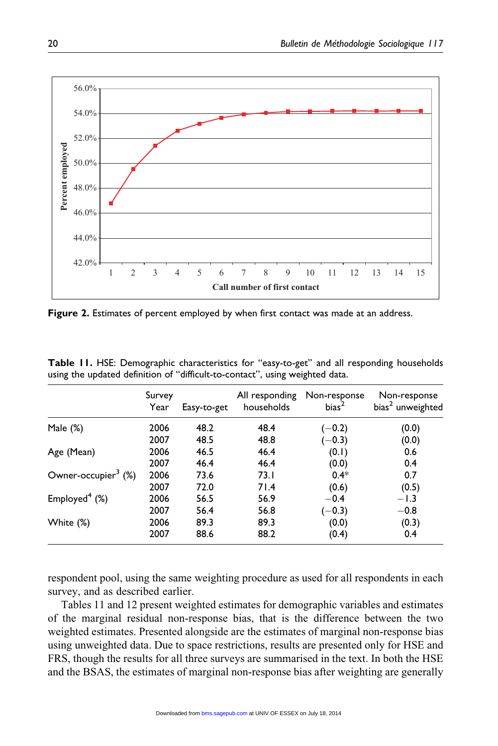

Figure 2. Estimates of percent employed by when first contact was made at an address.

|                                 | Survey<br>Year | Easy-to-get | All responding<br>households | Non-response<br>bias <sup>2</sup> | Non-response<br>bias <sup>2</sup> unweighted |
|---------------------------------|----------------|-------------|------------------------------|-----------------------------------|----------------------------------------------|
| Male $(\%)$                     | 2006           | 48.2        | 48.4                         | $(-0.2)$                          | (0.0)                                        |
|                                 | 2007           | 48.5        | 48.8                         | $(-0.3)$                          | (0.0)                                        |
| Age (Mean)                      | 2006           | 46.5        | 46.4                         | (0.1)                             | 0.6                                          |
|                                 | 2007           | 46.4        | 46.4                         | (0.0)                             | 0.4                                          |
| Owner-occupier <sup>3</sup> (%) | 2006           | 73.6        | 73.I                         | $0.4*$                            | 0.7                                          |
|                                 | 2007           | 72.0        | 71.4                         | (0.6)                             | (0.5)                                        |
| Employed $4$ (%)                | 2006           | 56.5        | 56.9                         | $-0.4$                            | $-1.3$                                       |
|                                 | 2007           | 56.4        | 56.8                         | $(-0.3)$                          | $-0.8$                                       |
| White (%)                       | 2006           | 89.3        | 89.3                         | (0.0)                             | (0.3)                                        |
|                                 | 2007           | 88.6        | 88.2                         | (0.4)                             | 0.4                                          |

Table 11. HSE: Demographic characteristics for ''easy-to-get'' and all responding households using the updated definition of ''difficult-to-contact'', using weighted data.

respondent pool, using the same weighting procedure as used for all respondents in each survey, and as described earlier.

Tables 11 and 12 present weighted estimates for demographic variables and estimates of the marginal residual non-response bias, that is the difference between the two weighted estimates. Presented alongside are the estimates of marginal non-response bias using unweighted data. Due to space restrictions, results are presented only for HSE and FRS, though the results for all three surveys are summarised in the text. In both the HSE and the BSAS, the estimates of marginal non-response bias after weighting are generally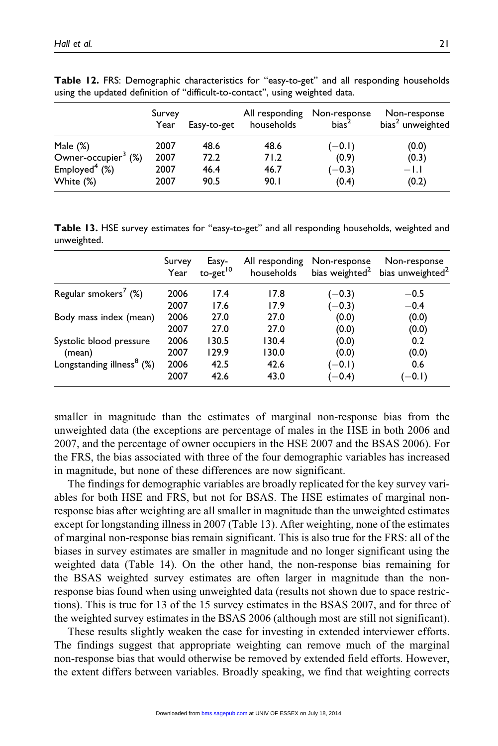|                                 | Survey<br>Year | Easy-to-get | households | All responding Non-response<br>bias <sup>2</sup> | Non-response<br>bias <sup>2</sup> unweighted |
|---------------------------------|----------------|-------------|------------|--------------------------------------------------|----------------------------------------------|
| Male $(\%)$                     | 2007           | 48.6        | 48.6       | $(-0.1)$                                         | (0.0)                                        |
| Owner-occupier <sup>3</sup> (%) | 2007           | 72.2        | 71.2       | (0.9)                                            | (0.3)                                        |
| Employed $4$ (%)                | 2007           | 46.4        | 46.7       | $(-0.3)$                                         | $-1.1$                                       |
| White (%)                       | 2007           | 90.5        | 90.I       | (0.4)                                            | (0.2)                                        |

Table 12. FRS: Demographic characteristics for ''easy-to-get'' and all responding households using the updated definition of ''difficult-to-contact'', using weighted data.

Table 13. HSE survey estimates for ''easy-to-get'' and all responding households, weighted and unweighted.

|                                       | Survey<br>Year | Easy-<br>to-get <sup>10</sup> | All responding<br>households | Non-response | Non-response<br>bias weighted <sup>2</sup> bias unweighted <sup>2</sup> |
|---------------------------------------|----------------|-------------------------------|------------------------------|--------------|-------------------------------------------------------------------------|
| Regular smokers <sup>7</sup> (%)      | 2006           | 17.4                          | 17.8                         | $(-0.3)$     | $-0.5$                                                                  |
|                                       | 2007           | 17.6                          | 17.9                         | $(-0.3)$     | $-0.4$                                                                  |
| Body mass index (mean)                | 2006           | 27.0                          | 27.0                         | (0.0)        | (0.0)                                                                   |
|                                       | 2007           | 27.0                          | 27.0                         | (0.0)        | (0.0)                                                                   |
| Systolic blood pressure               | 2006           | 130.5                         | 130.4                        | (0.0)        | 0.2                                                                     |
| (mean)                                | 2007           | 129.9                         | 130.0                        | (0.0)        | (0.0)                                                                   |
| Longstanding illness <sup>8</sup> (%) | 2006           | 42.5                          | 42.6                         | $(-0.1)$     | 0.6                                                                     |
|                                       | 2007           | 42.6                          | 43.0                         | $(-0.4)$     | $(-0.1)$                                                                |

smaller in magnitude than the estimates of marginal non-response bias from the unweighted data (the exceptions are percentage of males in the HSE in both 2006 and 2007, and the percentage of owner occupiers in the HSE 2007 and the BSAS 2006). For the FRS, the bias associated with three of the four demographic variables has increased in magnitude, but none of these differences are now significant.

The findings for demographic variables are broadly replicated for the key survey variables for both HSE and FRS, but not for BSAS. The HSE estimates of marginal nonresponse bias after weighting are all smaller in magnitude than the unweighted estimates except for longstanding illness in 2007 (Table 13). After weighting, none of the estimates of marginal non-response bias remain significant. This is also true for the FRS: all of the biases in survey estimates are smaller in magnitude and no longer significant using the weighted data (Table 14). On the other hand, the non-response bias remaining for the BSAS weighted survey estimates are often larger in magnitude than the nonresponse bias found when using unweighted data (results not shown due to space restrictions). This is true for 13 of the 15 survey estimates in the BSAS 2007, and for three of the weighted survey estimates in the BSAS 2006 (although most are still not significant).

These results slightly weaken the case for investing in extended interviewer efforts. The findings suggest that appropriate weighting can remove much of the marginal non-response bias that would otherwise be removed by extended field efforts. However, the extent differs between variables. Broadly speaking, we find that weighting corrects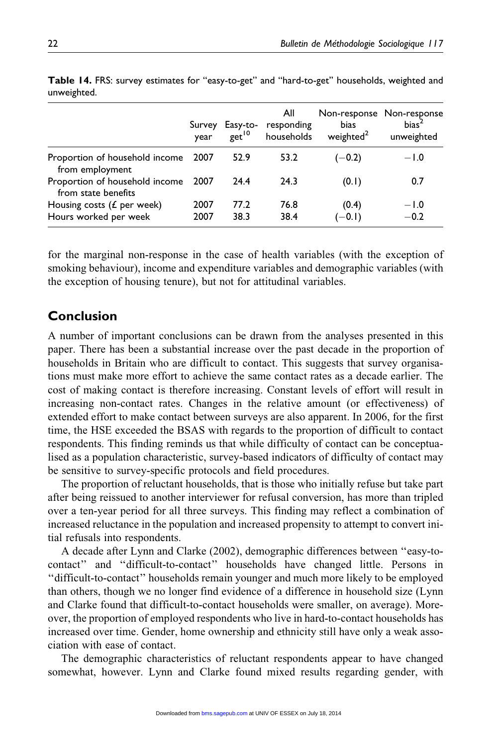|                                                        | year         | get <sup>10</sup> | All<br>Survey Easy-to- responding<br>households | Non-response Non-response<br>bias<br>weighted <sup>2</sup> | bias <sup>2</sup><br>unweighted |
|--------------------------------------------------------|--------------|-------------------|-------------------------------------------------|------------------------------------------------------------|---------------------------------|
| Proportion of household income 2007<br>from employment |              | 52.9              | 53.2                                            | $(-0.2)$                                                   | $-1.0$                          |
| Proportion of household income<br>from state benefits  | 2007         | 24.4              | 24.3                                            | (0.1)                                                      | 0.7                             |
| Housing costs $(f$ per week)<br>Hours worked per week  | 2007<br>2007 | 77.2<br>38.3      | 76.8<br>38.4                                    | (0.4)<br>$(-0.1)$                                          | $-1.0$<br>$-0.2$                |

Table 14. FRS: survey estimates for ''easy-to-get'' and ''hard-to-get'' households, weighted and unweighted.

for the marginal non-response in the case of health variables (with the exception of smoking behaviour), income and expenditure variables and demographic variables (with the exception of housing tenure), but not for attitudinal variables.

# Conclusion

A number of important conclusions can be drawn from the analyses presented in this paper. There has been a substantial increase over the past decade in the proportion of households in Britain who are difficult to contact. This suggests that survey organisations must make more effort to achieve the same contact rates as a decade earlier. The cost of making contact is therefore increasing. Constant levels of effort will result in increasing non-contact rates. Changes in the relative amount (or effectiveness) of extended effort to make contact between surveys are also apparent. In 2006, for the first time, the HSE exceeded the BSAS with regards to the proportion of difficult to contact respondents. This finding reminds us that while difficulty of contact can be conceptualised as a population characteristic, survey-based indicators of difficulty of contact may be sensitive to survey-specific protocols and field procedures.

The proportion of reluctant households, that is those who initially refuse but take part after being reissued to another interviewer for refusal conversion, has more than tripled over a ten-year period for all three surveys. This finding may reflect a combination of increased reluctance in the population and increased propensity to attempt to convert initial refusals into respondents.

A decade after Lynn and Clarke (2002), demographic differences between ''easy-tocontact'' and ''difficult-to-contact'' households have changed little. Persons in ''difficult-to-contact'' households remain younger and much more likely to be employed than others, though we no longer find evidence of a difference in household size (Lynn and Clarke found that difficult-to-contact households were smaller, on average). Moreover, the proportion of employed respondents who live in hard-to-contact households has increased over time. Gender, home ownership and ethnicity still have only a weak association with ease of contact.

The demographic characteristics of reluctant respondents appear to have changed somewhat, however. Lynn and Clarke found mixed results regarding gender, with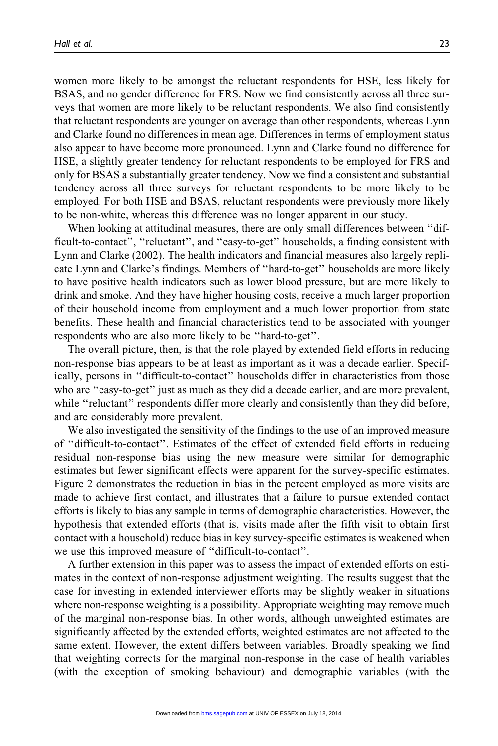women more likely to be amongst the reluctant respondents for HSE, less likely for BSAS, and no gender difference for FRS. Now we find consistently across all three surveys that women are more likely to be reluctant respondents. We also find consistently that reluctant respondents are younger on average than other respondents, whereas Lynn and Clarke found no differences in mean age. Differences in terms of employment status also appear to have become more pronounced. Lynn and Clarke found no difference for HSE, a slightly greater tendency for reluctant respondents to be employed for FRS and only for BSAS a substantially greater tendency. Now we find a consistent and substantial tendency across all three surveys for reluctant respondents to be more likely to be employed. For both HSE and BSAS, reluctant respondents were previously more likely to be non-white, whereas this difference was no longer apparent in our study.

When looking at attitudinal measures, there are only small differences between ''difficult-to-contact'', ''reluctant'', and ''easy-to-get'' households, a finding consistent with Lynn and Clarke (2002). The health indicators and financial measures also largely replicate Lynn and Clarke's findings. Members of ''hard-to-get'' households are more likely to have positive health indicators such as lower blood pressure, but are more likely to drink and smoke. And they have higher housing costs, receive a much larger proportion of their household income from employment and a much lower proportion from state benefits. These health and financial characteristics tend to be associated with younger respondents who are also more likely to be ''hard-to-get''.

The overall picture, then, is that the role played by extended field efforts in reducing non-response bias appears to be at least as important as it was a decade earlier. Specifically, persons in ''difficult-to-contact'' households differ in characteristics from those who are "easy-to-get" just as much as they did a decade earlier, and are more prevalent, while "reluctant" respondents differ more clearly and consistently than they did before, and are considerably more prevalent.

We also investigated the sensitivity of the findings to the use of an improved measure of ''difficult-to-contact''. Estimates of the effect of extended field efforts in reducing residual non-response bias using the new measure were similar for demographic estimates but fewer significant effects were apparent for the survey-specific estimates. Figure 2 demonstrates the reduction in bias in the percent employed as more visits are made to achieve first contact, and illustrates that a failure to pursue extended contact efforts is likely to bias any sample in terms of demographic characteristics. However, the hypothesis that extended efforts (that is, visits made after the fifth visit to obtain first contact with a household) reduce bias in key survey-specific estimates is weakened when we use this improved measure of ''difficult-to-contact''.

A further extension in this paper was to assess the impact of extended efforts on estimates in the context of non-response adjustment weighting. The results suggest that the case for investing in extended interviewer efforts may be slightly weaker in situations where non-response weighting is a possibility. Appropriate weighting may remove much of the marginal non-response bias. In other words, although unweighted estimates are significantly affected by the extended efforts, weighted estimates are not affected to the same extent. However, the extent differs between variables. Broadly speaking we find that weighting corrects for the marginal non-response in the case of health variables (with the exception of smoking behaviour) and demographic variables (with the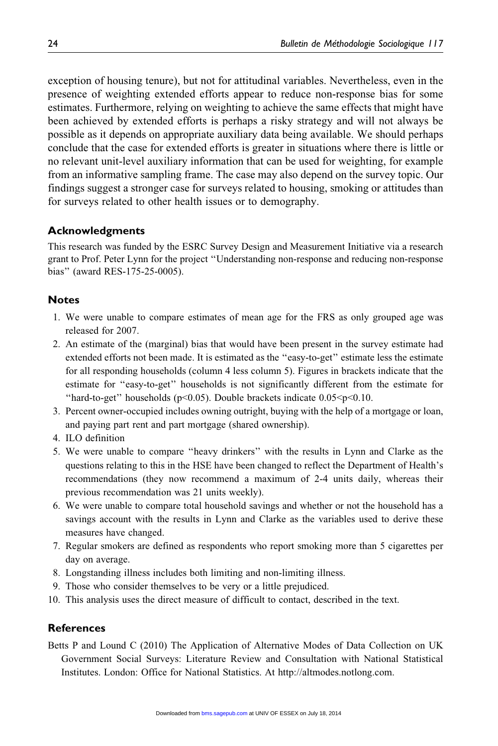exception of housing tenure), but not for attitudinal variables. Nevertheless, even in the presence of weighting extended efforts appear to reduce non-response bias for some estimates. Furthermore, relying on weighting to achieve the same effects that might have been achieved by extended efforts is perhaps a risky strategy and will not always be possible as it depends on appropriate auxiliary data being available. We should perhaps conclude that the case for extended efforts is greater in situations where there is little or no relevant unit-level auxiliary information that can be used for weighting, for example from an informative sampling frame. The case may also depend on the survey topic. Our findings suggest a stronger case for surveys related to housing, smoking or attitudes than for surveys related to other health issues or to demography.

## Acknowledgments

This research was funded by the ESRC Survey Design and Measurement Initiative via a research grant to Prof. Peter Lynn for the project ''Understanding non-response and reducing non-response bias'' (award RES-175-25-0005).

#### **Notes**

- 1. We were unable to compare estimates of mean age for the FRS as only grouped age was released for 2007.
- 2. An estimate of the (marginal) bias that would have been present in the survey estimate had extended efforts not been made. It is estimated as the ''easy-to-get'' estimate less the estimate for all responding households (column 4 less column 5). Figures in brackets indicate that the estimate for ''easy-to-get'' households is not significantly different from the estimate for "hard-to-get" households ( $p<0.05$ ). Double brackets indicate  $0.05.$
- 3. Percent owner-occupied includes owning outright, buying with the help of a mortgage or loan, and paying part rent and part mortgage (shared ownership).
- 4. ILO definition
- 5. We were unable to compare ''heavy drinkers'' with the results in Lynn and Clarke as the questions relating to this in the HSE have been changed to reflect the Department of Health's recommendations (they now recommend a maximum of 2-4 units daily, whereas their previous recommendation was 21 units weekly).
- 6. We were unable to compare total household savings and whether or not the household has a savings account with the results in Lynn and Clarke as the variables used to derive these measures have changed.
- 7. Regular smokers are defined as respondents who report smoking more than 5 cigarettes per day on average.
- 8. Longstanding illness includes both limiting and non-limiting illness.
- 9. Those who consider themselves to be very or a little prejudiced.
- 10. This analysis uses the direct measure of difficult to contact, described in the text.

## **References**

Betts P and Lound C (2010) The Application of Alternative Modes of Data Collection on UK Government Social Surveys: Literature Review and Consultation with National Statistical Institutes. London: Office for National Statistics. At http://altmodes.notlong.com.